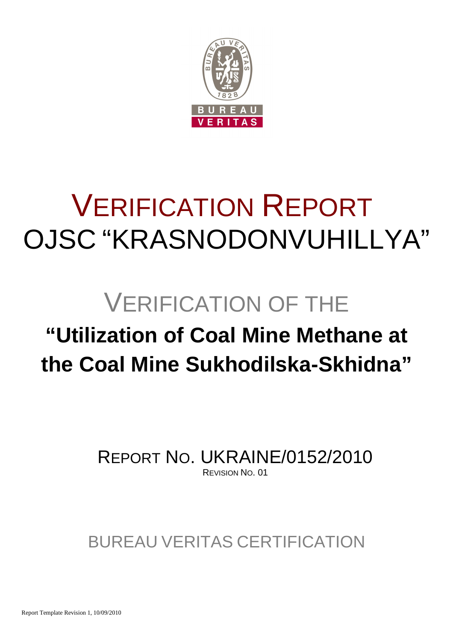

# VERIFICATION REPORT OJSC "KRASNODONVUHILLYA"

# VERIFICATION OF THE

# **"Utilization of Coal Mine Methane at the Coal Mine Sukhodilska-Skhidna"**

REPORT NO. UKRAINE/0152/2010 REVISION NO. 01

BUREAU VERITAS CERTIFICATION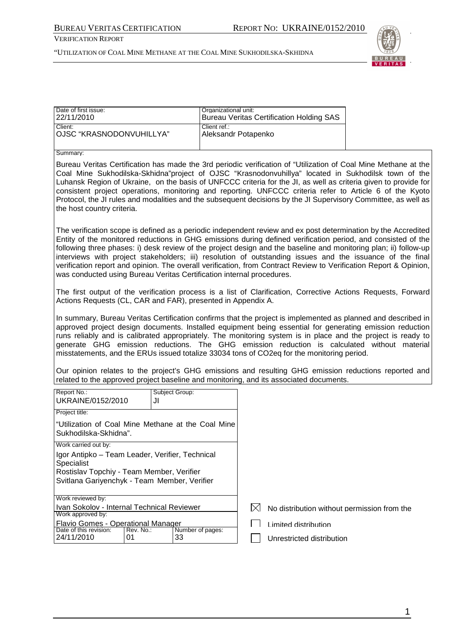VERIFICATION REPORT



| Date of first issue:<br>22/11/2010                                                                                                                                                                                                                                                                                                                                                                                                                                                                                                                                                                                                                            | Organizational unit:                |             | <b>Bureau Veritas Certification Holding SAS</b>   |  |
|---------------------------------------------------------------------------------------------------------------------------------------------------------------------------------------------------------------------------------------------------------------------------------------------------------------------------------------------------------------------------------------------------------------------------------------------------------------------------------------------------------------------------------------------------------------------------------------------------------------------------------------------------------------|-------------------------------------|-------------|---------------------------------------------------|--|
| Client:<br>OJSC "KRASNODONVUHILLYA"                                                                                                                                                                                                                                                                                                                                                                                                                                                                                                                                                                                                                           | Client ref.:<br>Aleksandr Potapenko |             |                                                   |  |
| Summary:                                                                                                                                                                                                                                                                                                                                                                                                                                                                                                                                                                                                                                                      |                                     |             |                                                   |  |
| Bureau Veritas Certification has made the 3rd periodic verification of "Utilization of Coal Mine Methane at the<br>Coal Mine Sukhodilska-Skhidna"project of OJSC "Krasnodonvuhillya" located in Sukhodilsk town of the<br>Luhansk Region of Ukraine, on the basis of UNFCCC criteria for the JI, as well as criteria given to provide for<br>consistent project operations, monitoring and reporting. UNFCCC criteria refer to Article 6 of the Kyoto<br>Protocol, the JI rules and modalities and the subsequent decisions by the JI Supervisory Committee, as well as<br>the host country criteria.                                                         |                                     |             |                                                   |  |
| The verification scope is defined as a periodic independent review and ex post determination by the Accredited<br>Entity of the monitored reductions in GHG emissions during defined verification period, and consisted of the<br>following three phases: i) desk review of the project design and the baseline and monitoring plan; ii) follow-up<br>interviews with project stakeholders; iii) resolution of outstanding issues and the issuance of the final<br>verification report and opinion. The overall verification, from Contract Review to Verification Report & Opinion,<br>was conducted using Bureau Veritas Certification internal procedures. |                                     |             |                                                   |  |
| The first output of the verification process is a list of Clarification, Corrective Actions Requests, Forward<br>Actions Requests (CL, CAR and FAR), presented in Appendix A.                                                                                                                                                                                                                                                                                                                                                                                                                                                                                 |                                     |             |                                                   |  |
| In summary, Bureau Veritas Certification confirms that the project is implemented as planned and described in<br>approved project design documents. Installed equipment being essential for generating emission reduction<br>runs reliably and is calibrated appropriately. The monitoring system is in place and the project is ready to<br>generate GHG emission reductions. The GHG emission reduction is calculated without material<br>misstatements, and the ERUs issued totalize 33034 tons of CO2eq for the monitoring period.                                                                                                                        |                                     |             |                                                   |  |
| Our opinion relates to the project's GHG emissions and resulting GHG emission reductions reported and<br>related to the approved project baseline and monitoring, and its associated documents.                                                                                                                                                                                                                                                                                                                                                                                                                                                               |                                     |             |                                                   |  |
| Report No.:<br>Subject Group:<br>UKRAINE/0152/2010<br>JI                                                                                                                                                                                                                                                                                                                                                                                                                                                                                                                                                                                                      |                                     |             |                                                   |  |
| Project title:                                                                                                                                                                                                                                                                                                                                                                                                                                                                                                                                                                                                                                                |                                     |             |                                                   |  |
| "Utilization of Coal Mine Methane at the Coal Mine<br>Sukhodilska-Skhidna".                                                                                                                                                                                                                                                                                                                                                                                                                                                                                                                                                                                   |                                     |             |                                                   |  |
| Work carried out by:<br>Igor Antipko - Team Leader, Verifier, Technical<br>Specialist<br>Rostislav Topchiy - Team Member, Verifier<br>Svitlana Gariyenchyk - Team Member, Verifier                                                                                                                                                                                                                                                                                                                                                                                                                                                                            |                                     |             |                                                   |  |
| Work reviewed by:<br>Ivan Sokolov - Internal Technical Reviewer<br>Work approved by:                                                                                                                                                                                                                                                                                                                                                                                                                                                                                                                                                                          |                                     | $\boxtimes$ | No distribution without permission from the       |  |
| <b>Flavio Gomes - Operational Manager</b><br>Date of this revision:<br>Rev. No.:<br>24/11/2010<br>01<br>33                                                                                                                                                                                                                                                                                                                                                                                                                                                                                                                                                    | Number of pages:                    |             | Limited distribution<br>Unrestricted distribution |  |
|                                                                                                                                                                                                                                                                                                                                                                                                                                                                                                                                                                                                                                                               |                                     |             |                                                   |  |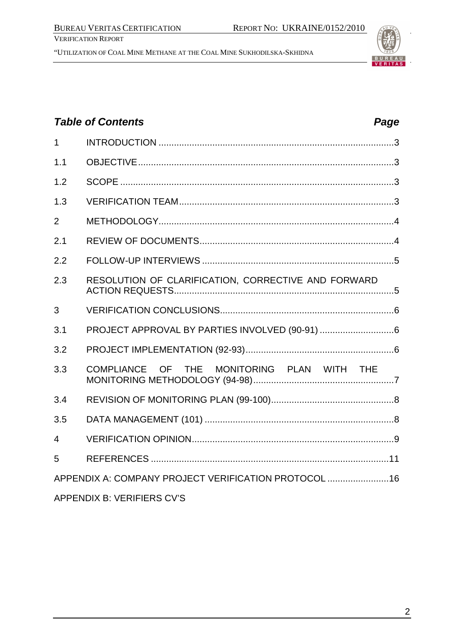"UTILIZATION OF COAL MINE METHANE AT THE COAL MINE SUKHODILSKA-SKHIDNA



# **Table of Contents Page 2016** 1 INTRODUCTION ............................................................................................3 1.1 OBJECTIVE....................................................................................................3 1.2 SCOPE ...........................................................................................................3 1.3 VERIFICATION TEAM....................................................................................3 2 METHODOLOGY............................................................................................4 2.1 REVIEW OF DOCUMENTS............................................................................4 2.2 FOLLOW-UP INTERVIEWS ...........................................................................5 2.3 RESOLUTION OF CLARIFICATION, CORRECTIVE AND FORWARD ACTION REQUESTS......................................................................................5 3 VERIFICATION CONCLUSIONS....................................................................6 3.1 PROJECT APPROVAL BY PARTIES INVOLVED (90-91) .............................6 3.2 PROJECT IMPLEMENTATION (92-93)..........................................................6 3.3 COMPLIANCE OF THE MONITORING PLAN WITH THE MONITORING METHODOLOGY (94-98).......................................................7 3.4 REVISION OF MONITORING PLAN (99-100)................................................8 3.5 DATA MANAGEMENT (101) ..........................................................................8 4 VERIFICATION OPINION...............................................................................9 5 REFERENCES .............................................................................................11 APPENDIX A: COMPANY PROJECT VERIFICATION PROTOCOL ........................16 APPENDIX B: VERIFIERS CV'S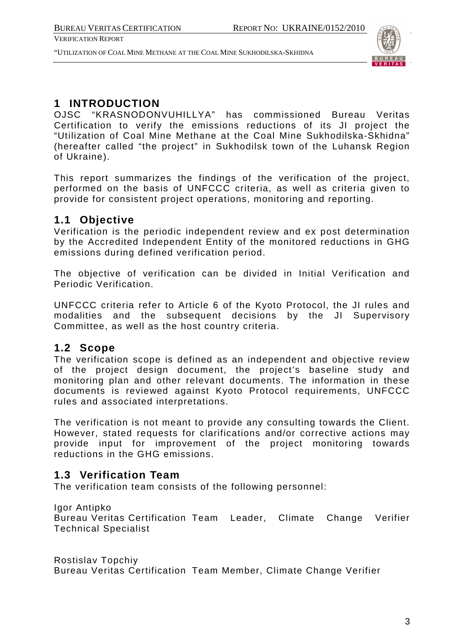"UTILIZATION OF COAL MINE METHANE AT THE COAL MINE SUKHODILSKA-SKHIDNA



# **1 INTRODUCTION**

OJSC "KRASNODONVUHILLYA" has commissioned Bureau Veritas Certification to verify the emissions reductions of its JI project the "Utilization of Coal Mine Methane at the Coal Mine Sukhodilska-Skhidna" (hereafter called "the project" in Sukhodilsk town of the Luhansk Region of Ukraine).

This report summarizes the findings of the verification of the project, performed on the basis of UNFCCC criteria, as well as criteria given to provide for consistent project operations, monitoring and reporting.

# **1.1 Objective**

Verification is the periodic independent review and ex post determination by the Accredited Independent Entity of the monitored reductions in GHG emissions during defined verification period.

The objective of verification can be divided in Initial Verification and Periodic Verification.

UNFCCC criteria refer to Article 6 of the Kyoto Protocol, the JI rules and modalities and the subsequent decisions by the JI Supervisory Committee, as well as the host country criteria.

# **1.2 Scope**

The verification scope is defined as an independent and objective review of the project design document, the project's baseline study and monitoring plan and other relevant documents. The information in these documents is reviewed against Kyoto Protocol requirements, UNFCCC rules and associated interpretations.

The verification is not meant to provide any consulting towards the Client. However, stated requests for clarifications and/or corrective actions may provide input for improvement of the project monitoring towards reductions in the GHG emissions.

# **1.3 Verification Team**

The verification team consists of the following personnel:

# Igor Antipko

Bureau Veritas Certification Team Leader, Climate Change Verifier Technical Specialist

Rostislav Topchiy Bureau Veritas Certification Team Member, Climate Change Verifier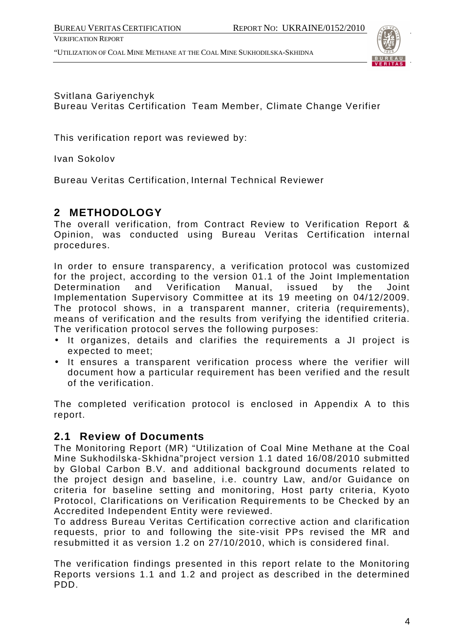"UTILIZATION OF COAL MINE METHANE AT THE COAL MINE SUKHODILSKA-SKHIDNA



# Svitlana Gariyenchyk Bureau Veritas Certification Team Member, Climate Change Verifier

This verification report was reviewed by:

Ivan Sokolov

Bureau Veritas Certification, Internal Technical Reviewer

# **2 METHODOLOGY**

The overall verification, from Contract Review to Verification Report & Opinion, was conducted using Bureau Veritas Certification internal procedures.

In order to ensure transparency, a verification protocol was customized for the project, according to the version 01.1 of the Joint Implementation Determination and Verification Manual, issued by the Joint Implementation Supervisory Committee at its 19 meeting on 04/12/2009. The protocol shows, in a transparent manner, criteria (requirements), means of verification and the results from verifying the identified criteria. The verification protocol serves the following purposes:

- It organizes, details and clarifies the requirements a JI project is expected to meet;
- It ensures a transparent verification process where the verifier will document how a particular requirement has been verified and the result of the verification.

The completed verification protocol is enclosed in Appendix A to this report.

# **2.1 Review of Documents**

The Monitoring Report (MR) "Utilization of Coal Mine Methane at the Coal Mine Sukhodilska-Skhidna"project version 1.1 dated 16/08/2010 submitted by Global Carbon B.V. and additional background documents related to the project design and baseline, i.e. country Law, and/or Guidance on criteria for baseline setting and monitoring, Host party criteria, Kyoto Protocol, Clarifications on Verification Requirements to be Checked by an Accredited Independent Entity were reviewed.

To address Bureau Veritas Certification corrective action and clarification requests, prior to and following the site-visit PPs revised the MR and resubmitted it as version 1.2 on 27/10/2010, which is considered final.

The verification findings presented in this report relate to the Monitoring Reports versions 1.1 and 1.2 and project as described in the determined PDD.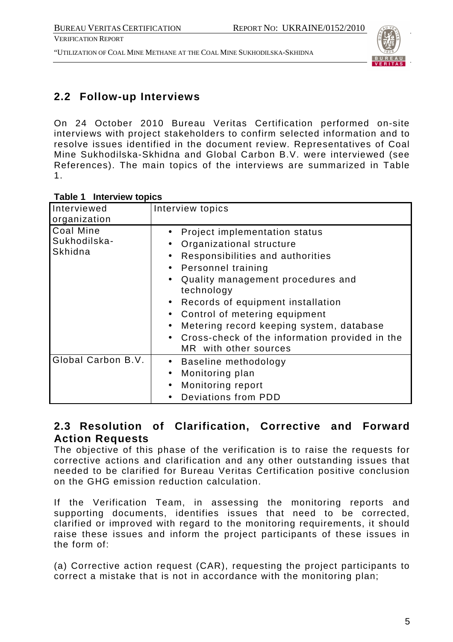"UTILIZATION OF COAL MINE METHANE AT THE COAL MINE SUKHODILSKA-SKHIDNA



# **2.2 Follow-up Interviews**

On 24 October 2010 Bureau Veritas Certification performed on-site interviews with project stakeholders to confirm selected information and to resolve issues identified in the document review. Representatives of Coal Mine Sukhodilska-Skhidna and Global Carbon B.V. were interviewed (see References). The main topics of the interviews are summarized in Table 1.

| Interviewed<br>organization                 | Interview topics                                                                                                                                                                                                                                                                                                                                                    |
|---------------------------------------------|---------------------------------------------------------------------------------------------------------------------------------------------------------------------------------------------------------------------------------------------------------------------------------------------------------------------------------------------------------------------|
| <b>Coal Mine</b><br>Sukhodilska-<br>Skhidna | Project implementation status<br>Organizational structure<br>Responsibilities and authorities<br>Personnel training<br>Quality management procedures and<br>technology<br>Records of equipment installation<br>Control of metering equipment<br>Metering record keeping system, database<br>Cross-check of the information provided in the<br>MR with other sources |
| Global Carbon B.V.                          | Baseline methodology<br>Monitoring plan<br>Monitoring report<br>Deviations from PDD                                                                                                                                                                                                                                                                                 |

# **Table 1 Interview topics**

# **2.3 Resolution of Clarification, Corrective and Forward Action Requests**

The objective of this phase of the verification is to raise the requests for corrective actions and clarification and any other outstanding issues that needed to be clarified for Bureau Veritas Certification positive conclusion on the GHG emission reduction calculation.

If the Verification Team, in assessing the monitoring reports and supporting documents, identifies issues that need to be corrected, clarified or improved with regard to the monitoring requirements, it should raise these issues and inform the project participants of these issues in the form of:

(a) Corrective action request (CAR), requesting the project participants to correct a mistake that is not in accordance with the monitoring plan;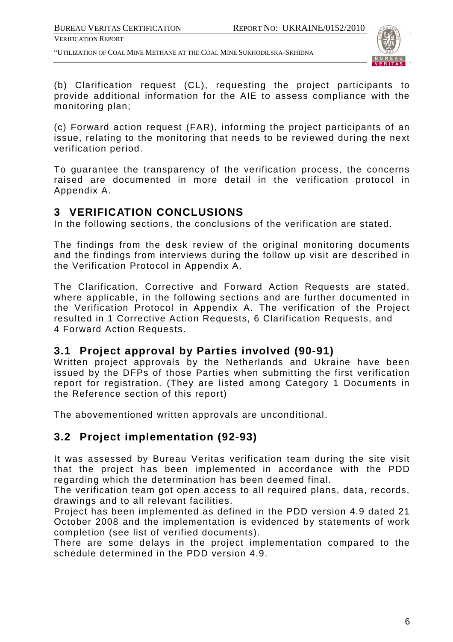"UTILIZATION OF COAL MINE METHANE AT THE COAL MINE SUKHODILSKA-SKHIDNA



(b) Clarification request (CL), requesting the project participants to provide additional information for the AIE to assess compliance with the monitoring plan;

(c) Forward action request (FAR), informing the project participants of an issue, relating to the monitoring that needs to be reviewed during the next verification period.

To guarantee the transparency of the verification process, the concerns raised are documented in more detail in the verification protocol in Appendix A.

# **3 VERIFICATION CONCLUSIONS**

In the following sections, the conclusions of the verification are stated.

The findings from the desk review of the original monitoring documents and the findings from interviews during the follow up visit are described in the Verification Protocol in Appendix A.

The Clarification, Corrective and Forward Action Requests are stated, where applicable, in the following sections and are further documented in the Verification Protocol in Appendix A. The verification of the Project resulted in 1 Corrective Action Requests, 6 Clarification Requests, and 4 Forward Action Requests.

# **3.1 Project approval by Parties involved (90-91)**

Written project approvals by the Netherlands and Ukraine have been issued by the DFPs of those Parties when submitting the first verification report for registration. (They are listed among Category 1 Documents in the Reference section of this report)

The abovementioned written approvals are unconditional.

# **3.2 Project implementation (92-93)**

It was assessed by Bureau Veritas verification team during the site visit that the project has been implemented in accordance with the PDD regarding which the determination has been deemed final.

The verification team got open access to all required plans, data, records, drawings and to all relevant facilities.

Project has been implemented as defined in the PDD version 4.9 dated 21 October 2008 and the implementation is evidenced by statements of work completion (see list of verified documents).

There are some delays in the project implementation compared to the schedule determined in the PDD version 4.9.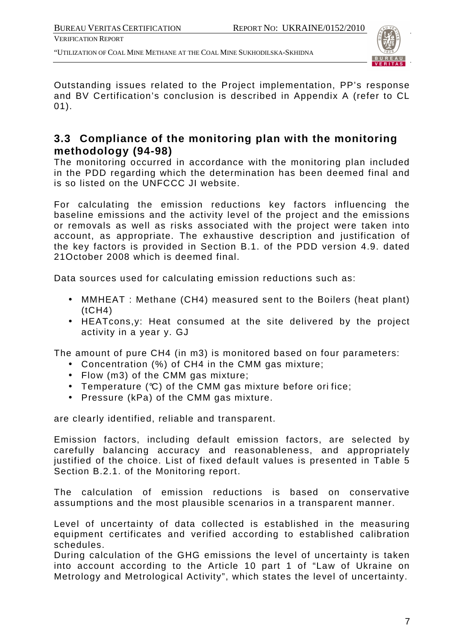"UTILIZATION OF COAL MINE METHANE AT THE COAL MINE SUKHODILSKA-SKHIDNA



Outstanding issues related to the Project implementation, PP's response and BV Certification's conclusion is described in Appendix A (refer to CL 01).

# **3.3 Compliance of the monitoring plan with the monitoring methodology (94-98)**

The monitoring occurred in accordance with the monitoring plan included in the PDD regarding which the determination has been deemed final and is so listed on the UNFCCC JI website.

For calculating the emission reductions key factors influencing the baseline emissions and the activity level of the project and the emissions or removals as well as risks associated with the project were taken into account, as appropriate. The exhaustive description and justification of the key factors is provided in Section B.1. of the PDD version 4.9. dated 21October 2008 which is deemed final.

Data sources used for calculating emission reductions such as:

- MMHEAT : Methane (CH4) measured sent to the Boilers (heat plant)  $(tCH4)$
- HEATcons,y: Heat consumed at the site delivered by the project activity in a year y. GJ

The amount of pure CH4 (in m3) is monitored based on four parameters:

- Concentration (%) of CH4 in the CMM gas mixture;
- Flow (m3) of the CMM gas mixture;
- Temperature (°C) of the CMM gas mixture before ori fice;
- Pressure (kPa) of the CMM gas mixture.

are clearly identified, reliable and transparent.

Emission factors, including default emission factors, are selected by carefully balancing accuracy and reasonableness, and appropriately justified of the choice. List of fixed default values is presented in Table 5 Section B.2.1. of the Monitoring report.

The calculation of emission reductions is based on conservative assumptions and the most plausible scenarios in a transparent manner.

Level of uncertainty of data collected is established in the measuring equipment certificates and verified according to established calibration schedules.

During calculation of the GHG emissions the level of uncertainty is taken into account according to the Article 10 part 1 of "Law of Ukraine on Metrology and Metrological Activity", which states the level of uncertainty.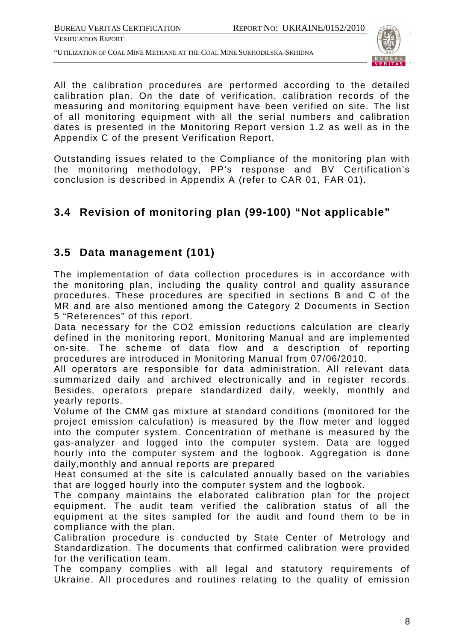"UTILIZATION OF COAL MINE METHANE AT THE COAL MINE SUKHODILSKA-SKHIDNA



All the calibration procedures are performed according to the detailed calibration plan. On the date of verification, calibration records of the measuring and monitoring equipment have been verified on site. The list of all monitoring equipment with all the serial numbers and calibration dates is presented in the Monitoring Report version 1.2 as well as in the Appendix C of the present Verification Report.

Outstanding issues related to the Compliance of the monitoring plan with the monitoring methodology, PP's response and BV Certification's conclusion is described in Appendix A (refer to CAR 01, FAR 01).

# **3.4 Revision of monitoring plan (99-100) "Not applicable"**

# **3.5 Data management (101)**

The implementation of data collection procedures is in accordance with the monitoring plan, including the quality control and quality assurance procedures. These procedures are specified in sections B and C of the MR and are also mentioned among the Category 2 Documents in Section 5 "References" of this report.

Data necessary for the CO2 emission reductions calculation are clearly defined in the monitoring report, Monitoring Manual and are implemented on-site. The scheme of data flow and a description of reporting procedures are introduced in Monitoring Manual from 07/06/2010.

All operators are responsible for data administration. All relevant data summarized daily and archived electronically and in register records. Besides, operators prepare standardized daily, weekly, monthly and yearly reports.

Volume of the CMM gas mixture at standard conditions (monitored for the project emission calculation) is measured by the flow meter and logged into the computer system. Concentration of methane is measured by the gas-analyzer and logged into the computer system. Data are logged hourly into the computer system and the logbook. Aggregation is done daily,monthly and annual reports are prepared

Heat consumed at the site is calculated annually based on the variables that are logged hourly into the computer system and the logbook.

The company maintains the elaborated calibration plan for the project equipment. The audit team verified the calibration status of all the equipment at the sites sampled for the audit and found them to be in compliance with the plan.

Calibration procedure is conducted by State Center of Metrology and Standardization. The documents that confirmed calibration were provided for the verification team.

The company complies with all legal and statutory requirements of Ukraine. All procedures and routines relating to the quality of emission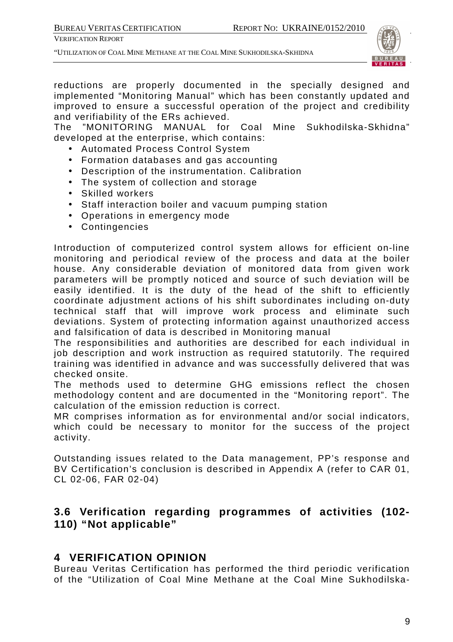"UTILIZATION OF COAL MINE METHANE AT THE COAL MINE SUKHODILSKA-SKHIDNA



reductions are properly documented in the specially designed and implemented "Monitoring Manual" which has been constantly updated and improved to ensure a successful operation of the project and credibility and verifiability of the ERs achieved.

The "MONITORING MANUAL for Coal Mine Sukhodilska-Skhidna" developed at the enterprise, which contains:

- Automated Process Control System
- Formation databases and gas accounting
- Description of the instrumentation. Calibration
- The system of collection and storage
- Skilled workers
- Staff interaction boiler and vacuum pumping station
- Operations in emergency mode
- Contingencies

Introduction of computerized control system allows for efficient on-line monitoring and periodical review of the process and data at the boiler house. Any considerable deviation of monitored data from given work parameters will be promptly noticed and source of such deviation will be easily identified. It is the duty of the head of the shift to efficiently coordinate adjustment actions of his shift subordinates including on-duty technical staff that will improve work process and eliminate such deviations. System of protecting information against unauthorized access and falsification of data is described in Monitoring manual

The responsibilities and authorities are described for each individual in job description and work instruction as required statutorily. The required training was identified in advance and was successfully delivered that was checked onsite.

The methods used to determine GHG emissions reflect the chosen methodology content and are documented in the "Monitoring report". The calculation of the emission reduction is correct.

MR comprises information as for environmental and/or social indicators, which could be necessary to monitor for the success of the project activity.

Outstanding issues related to the Data management, PP's response and BV Certification's conclusion is described in Appendix A (refer to CAR 01, CL 02-06, FAR 02-04)

# **3.6 Verification regarding programmes of activities (102- 110) "Not applicable"**

# **4 VERIFICATION OPINION**

Bureau Veritas Certification has performed the third periodic verification of the "Utilization of Coal Mine Methane at the Coal Mine Sukhodilska-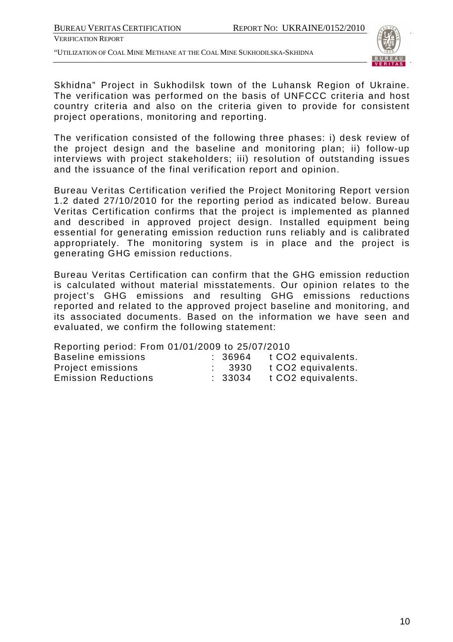"UTILIZATION OF COAL MINE METHANE AT THE COAL MINE SUKHODILSKA-SKHIDNA



Skhidna" Project in Sukhodilsk town of the Luhansk Region of Ukraine. The verification was performed on the basis of UNFCCC criteria and host country criteria and also on the criteria given to provide for consistent project operations, monitoring and reporting.

The verification consisted of the following three phases: i) desk review of the project design and the baseline and monitoring plan; ii) follow-up interviews with project stakeholders; iii) resolution of outstanding issues and the issuance of the final verification report and opinion.

Bureau Veritas Certification verified the Project Monitoring Report version 1.2 dated 27/10/2010 for the reporting period as indicated below. Bureau Veritas Certification confirms that the project is implemented as planned and described in approved project design. Installed equipment being essential for generating emission reduction runs reliably and is calibrated appropriately. The monitoring system is in place and the project is generating GHG emission reductions.

Bureau Veritas Certification can confirm that the GHG emission reduction is calculated without material misstatements. Our opinion relates to the project's GHG emissions and resulting GHG emissions reductions reported and related to the approved project baseline and monitoring, and its associated documents. Based on the information we have seen and evaluated, we confirm the following statement:

| Reporting period: From 01/01/2009 to 25/07/2010 |                   |                                       |
|-------------------------------------------------|-------------------|---------------------------------------|
| <b>Baseline emissions</b>                       |                   | $\therefore$ 36964 t CO2 equivalents. |
| Project emissions                               | $\therefore$ 3930 | t CO2 equivalents.                    |
| <b>Emission Reductions</b>                      | : 33034           | t CO2 equivalents.                    |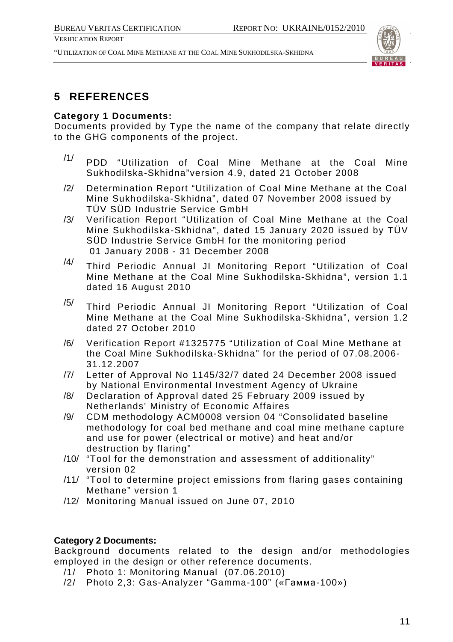"UTILIZATION OF COAL MINE METHANE AT THE COAL MINE SUKHODILSKA-SKHIDNA



# **5 REFERENCES**

# **Category 1 Documents:**

Documents provided by Type the name of the company that relate directly to the GHG components of the project.

- $/1/$  PDD "Utilization of Coal Mine Methane at the Coal Mine Sukhodilska-Skhidna"version 4.9, dated 21 October 2008
- /2/ Determination Report "Utilization of Coal Mine Methane at the Coal Mine Sukhodilska-Skhidna", dated 07 November 2008 issued by TÜV SÜD Industrie Service GmbH
- /3/ Verification Report "Utilization of Coal Mine Methane at the Coal Mine Sukhodilska-Skhidna", dated 15 January 2020 issued by TÜV SÜD Industrie Service GmbH for the monitoring period 01 January 2008 - 31 December 2008
- $\frac{14}{10}$  Third Periodic Annual JI Monitoring Report "Utilization of Coal Mine Methane at the Coal Mine Sukhodilska-Skhidna", version 1.1 dated 16 August 2010
- /5/ Third Periodic Annual JI Monitoring Report "Utilization of Coal Mine Methane at the Coal Mine Sukhodilska-Skhidna", version 1.2 dated 27 October 2010
- /6/ Verification Report #1325775 "Utilization of Coal Mine Methane at the Coal Mine Sukhodilska-Skhidna" for the period of 07.08.2006- 31.12.2007
- /7/ Letter of Approval No 1145/32/7 dated 24 December 2008 issued by National Environmental Investment Agency of Ukraine
- /8/ Declaration of Approval dated 25 February 2009 issued by Netherlands' Ministry of Economic Affaires
- /9/ CDM methodology ACM0008 version 04 "Consolidated baseline methodology for coal bed methane and coal mine methane capture and use for power (electrical or motive) and heat and/or destruction by flaring"
- /10/ "Tool for the demonstration and assessment of additionality" version 02
- /11/ "Tool to determine project emissions from flaring gases containing Methane" version 1
- /12/ Monitoring Manual issued on June 07, 2010

# **Category 2 Documents:**

Background documents related to the design and/or methodologies employed in the design or other reference documents.

- /1/ Photo 1: Monitoring Manual (07.06.2010)
- /2/ Photo 2,3: Gas-Analyzer "Gamma-100" («Гамма-100»)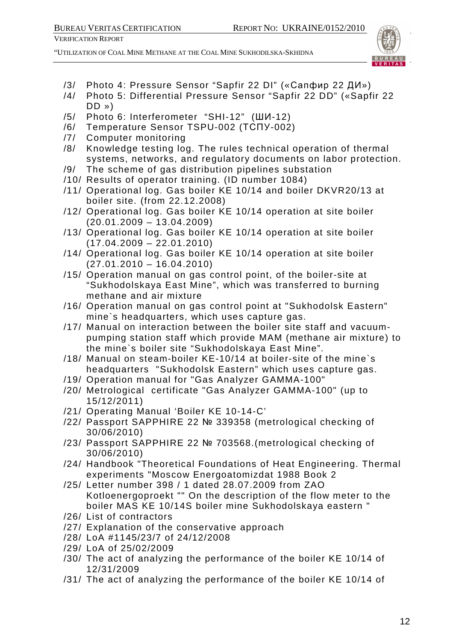

- /3/ Photo 4: Pressure Sensor "Sapfir 22 DI" («Сапфир 22 ДИ»)
- /4/ Photo 5: Differential Pressure Sensor "Sapfir 22 DD" («Sapfir 22 DD »)
- /5/ Photo 6: Interferometer "SHI-12" (ШИ-12)
- /6/ Temperature Sensor TSPU-002 (ТСПУ-002)
- /7/ Computer monitoring
- /8/ Knowledge testing log. The rules technical operation of thermal systems, networks, and regulatory documents on labor protection.
- /9/ The scheme of gas distribution pipelines substation
- /10/ Results of operator training. (ID number 1084)
- /11/ Operational log. Gas boiler KE 10/14 and boiler DKVR20/13 at boiler site. (from 22.12.2008)
- /12/ Operational log. Gas boiler KE 10/14 operation at site boiler  $(20.01.2009 - 13.04.2009)$
- /13/ Operational log. Gas boiler KE 10/14 operation at site boiler  $(17.04.2009 - 22.01.2010)$
- /14/ Operational log. Gas boiler KE 10/14 operation at site boiler (27.01.2010 – 16.04.2010)
- /15/ Operation manual on gas control point, of the boiler-site at "Sukhodolskaya East Mine", which was transferred to burning methane and air mixture
- /16/ Operation manual on gas control point at "Sukhodolsk Eastern" mine`s headquarters, which uses capture gas.
- /17/ Manual on interaction between the boiler site staff and vacuumpumping station staff which provide MAM (methane air mixture) to the mine`s boiler site "Sukhodolskaya East Mine".
- /18/ Manual on steam-boiler KE-10/14 at boiler-site of the mine`s headquarters "Sukhodolsk Eastern" which uses capture gas.
- /19/ Operation manual for "Gas Analyzer GAMMA-100"
- /20/ Metrological certificate "Gas Analyzer GAMMA-100" (up to 15/12/2011)
- /21/ Operating Manual 'Boiler KE 10-14-C'
- /22/ Passport SAPPHIRE 22 № 339358 (metrological checking of 30/06/2010)
- /23/ Passport SAPPHIRE 22 № 703568.(metrological checking of 30/06/2010)
- /24/ Handbook "Theoretical Foundations of Heat Engineering. Thermal experiments "Moscow Energoatomizdat 1988 Book 2
- /25/ Letter number 398 / 1 dated 28.07.2009 from ZAO Kotloenergoproekt "" On the description of the flow meter to the boiler MAS KE 10/14S boiler mine Sukhodolskaya eastern "
- /26/ List of contractors
- /27/ Explanation of the conservative approach
- /28/ LoA #1145/23/7 of 24/12/2008
- /29/ LoA of 25/02/2009
- /30/ The act of analyzing the performance of the boiler KE 10/14 of 12/31/2009
- /31/ The act of analyzing the performance of the boiler KE 10/14 of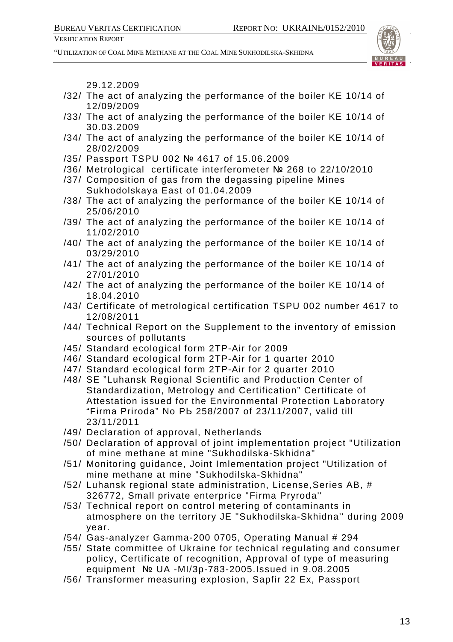"UTILIZATION OF COAL MINE METHANE AT THE COAL MINE SUKHODILSKA-SKHIDNA



29.12.2009

- /32/ The act of analyzing the performance of the boiler KE 10/14 of 12/09/2009
- /33/ The act of analyzing the performance of the boiler KE 10/14 of 30.03.2009
- /34/ The act of analyzing the performance of the boiler KE 10/14 of 28/02/2009
- /35/ Passport TSPU 002 № 4617 of 15.06.2009
- /36/ Metrological certificate interferometer № 268 to 22/10/2010
- /37/ Composition of gas from the degassing pipeline Mines Sukhodolskaya East of 01.04.2009
- /38/ The act of analyzing the performance of the boiler KE 10/14 of 25/06/2010
- /39/ The act of analyzing the performance of the boiler KE 10/14 of 11/02/2010
- /40/ The act of analyzing the performance of the boiler KE 10/14 of 03/29/2010
- /41/ The act of analyzing the performance of the boiler KE 10/14 of 27/01/2010
- /42/ The act of analyzing the performance of the boiler KE 10/14 of 18.04.2010
- /43/ Certificate of metrological certification TSPU 002 number 4617 to 12/08/2011
- /44/ Technical Report on the Supplement to the inventory of emission sources of pollutants
- /45/ Standard ecological form 2TP-Air for 2009
- /46/ Standard ecological form 2TP-Air for 1 quarter 2010
- /47/ Standard ecological form 2TP-Air for 2 quarter 2010
- /48/ SE "Luhansk Regional Scientific and Production Center of Standardization, Metrology and Certification" Certificate of Attestation issued for the Environmental Protection Laboratory "Firma Priroda" No PЬ 258/2007 of 23/11/2007, valid till 23/11/2011
- /49/ Declaration of approval, Netherlands
- /50/ Declaration of approval of joint implementation project "Utilization of mine methane at mine "Sukhodilska-Skhidna"
- /51/ Monitoring guidance, Joint Imlementation project "Utilization of mine methane at mine "Sukhodilska-Skhidna"
- /52/ Luhansk regional state administration, License,Series AB, # 326772, Small private enterprice "Firma Pryroda''
- /53/ Technical report on control metering of contaminants in atmosphere on the territory JE "Sukhodilska-Skhidna'' during 2009 year.
- /54/ Gas-analyzer Gamma-200 0705, Operating Manual # 294
- /55/ State committee of Ukraine for technical regulating and consumer policy, Certificate of recognition, Approval of type of measuring equipment № UA -MI/3p-783-2005.Issued in 9.08.2005
- /56/ Transformer measuring explosion, Sapfir 22 Ex, Passport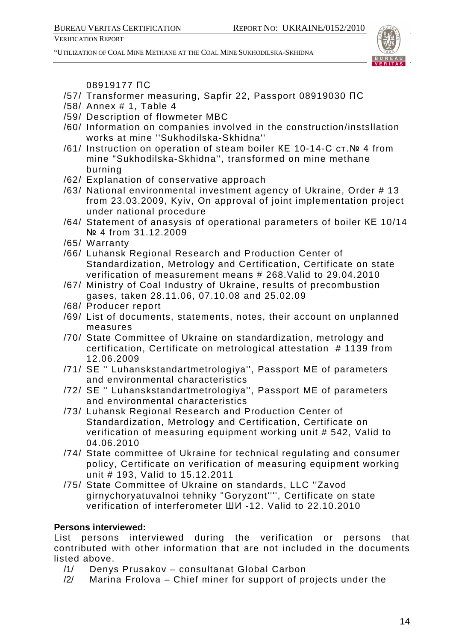"UTILIZATION OF COAL MINE METHANE AT THE COAL MINE SUKHODILSKA-SKHIDNA



08919177 ПС

- /57/ Transformer measuring, Sapfir 22, Passport 08919030 ПС
- /58/ Annex # 1, Table 4
- /59/ Description of flowmeter MBC
- /60/ Information on companies involved in the construction/instsllation works at mine ''Sukhodilska-Skhidna''
- /61/ Instruction on operation of steam boiler КЕ 10-14-С ст.№ 4 from mine "Sukhodilska-Skhidna'', transformed on mine methane burning
- /62/ Explanation of conservative approach
- /63/ National environmental investment agency of Ukraine, Order # 13 from 23.03.2009, Kyiv, On approval of joint implementation project under national procedure
- /64/ Statement of anasysis of operational parameters of boiler КЕ 10/14 № 4 from 31.12.2009
- /65/ Warranty
- /66/ Luhansk Regional Research and Production Center of Standardization, Metrology and Certification, Certificate on state verification of measurement means # 268.Valid to 29.04.2010
- /67/ Ministry of Coal Industry of Ukraine, results of precombustion gases, taken 28.11.06, 07.10.08 and 25.02.09
- /68/ Producer report
- /69/ List of documents, statements, notes, their account on unplanned measures
- /70/ State Committee of Ukraine on standardization, metrology and certification, Certificate on metrological attestation # 1139 from 12.06.2009
- /71/ SE '' Luhanskstandartmetrologiya'', Passport ME of parameters and environmental characteristics
- /72/ SE '' Luhanskstandartmetrologiya'', Passport ME of parameters and environmental characteristics
- /73/ Luhansk Regional Research and Production Center of Standardization, Metrology and Certification, Certificate on verification of measuring equipment working unit # 542, Valid to 04.06.2010
- /74/ State committee of Ukraine for technical regulating and consumer policy, Certificate on verification of measuring equipment working unit # 193, Valid to 15.12.2011
- /75/ State Committee of Ukraine on standards, LLC ''Zavod girnychoryatuvalnoi tehniky "Goryzont'''', Certificate on state verification of interferometer ШИ -12. Valid to 22.10.2010

# **Persons interviewed:**

List persons interviewed during the verification or persons that contributed with other information that are not included in the documents listed above.

- /1/ Denys Prusakov consultanat Global Carbon
- /2/ Marina Frolova Chief miner for support of projects under the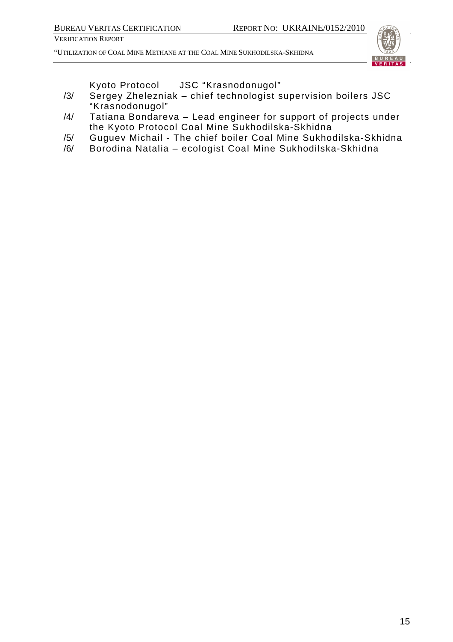"UTILIZATION OF COAL MINE METHANE AT THE COAL MINE SUKHODILSKA-SKHIDNA



Kyoto Protocol JSC "Krasnodonugol"

- /3/ Sergey Zhelezniak chief technologist supervision boilers JSC "Krasnodonugol"
- /4/ Tatiana Bondareva Lead engineer for support of projects under the Kyoto Protocol Coal Mine Sukhodilska-Skhidna
- /5/ Guguev Michail The chief boiler Coal Mine Sukhodilska-Skhidna
- /6/ Borodina Natalia ecologist Coal Mine Sukhodilska-Skhidna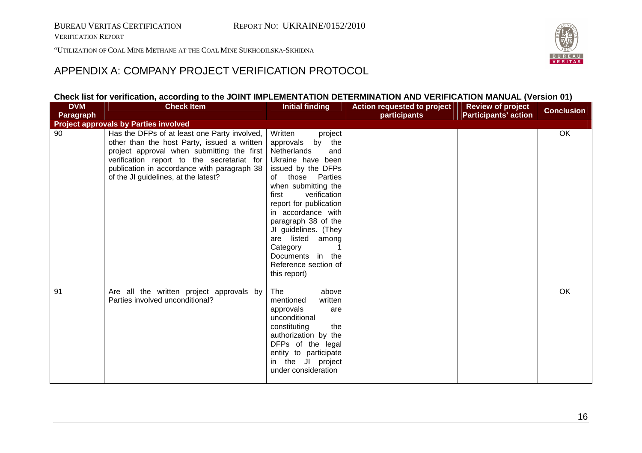"UTILIZATION OF COAL MINE METHANE AT THE COAL MINE SUKHODILSKA-SKHIDNA



# APPENDIX A: COMPANY PROJECT VERIFICATION PROTOCOL

### **Check list for verification, according to the JOINT IMPLEMENTATION DETERMINATION AND VERIFICATION MANUAL (Version 01)**

| <b>DVM</b> | <b>Check Item</b>                                                                                                                                                                                                                                                              | <b>Initial finding</b>                                                                                                                                                                                                                                                                                                                                                          | Action requested to project | <b>Review of project</b>    | <b>Conclusion</b> |
|------------|--------------------------------------------------------------------------------------------------------------------------------------------------------------------------------------------------------------------------------------------------------------------------------|---------------------------------------------------------------------------------------------------------------------------------------------------------------------------------------------------------------------------------------------------------------------------------------------------------------------------------------------------------------------------------|-----------------------------|-----------------------------|-------------------|
| Paragraph  |                                                                                                                                                                                                                                                                                |                                                                                                                                                                                                                                                                                                                                                                                 | participants                | <b>Participants' action</b> |                   |
|            | <b>Project approvals by Parties involved</b>                                                                                                                                                                                                                                   |                                                                                                                                                                                                                                                                                                                                                                                 |                             |                             |                   |
| 90         | Has the DFPs of at least one Party involved,<br>other than the host Party, issued a written<br>project approval when submitting the first<br>verification report to the secretariat for<br>publication in accordance with paragraph 38<br>of the JI guidelines, at the latest? | Written<br>project<br>by<br>the<br>approvals<br>Netherlands<br>and<br>Ukraine have been<br>issued by the DFPs<br>of those Parties<br>when submitting the<br>first<br>verification<br>report for publication<br>in accordance with<br>paragraph 38 of the<br>JI guidelines. (They<br>listed among<br>are<br>Category<br>Documents in the<br>Reference section of<br>this report) |                             |                             | OK                |
| 91         | Are all the written project approvals by<br>Parties involved unconditional?                                                                                                                                                                                                    | The<br>above<br>mentioned<br>written<br>approvals<br>are<br>unconditional<br>constituting<br>the<br>authorization by the<br>DFPs of the legal<br>entity to participate<br>in the JI project<br>under consideration                                                                                                                                                              |                             |                             | <b>OK</b>         |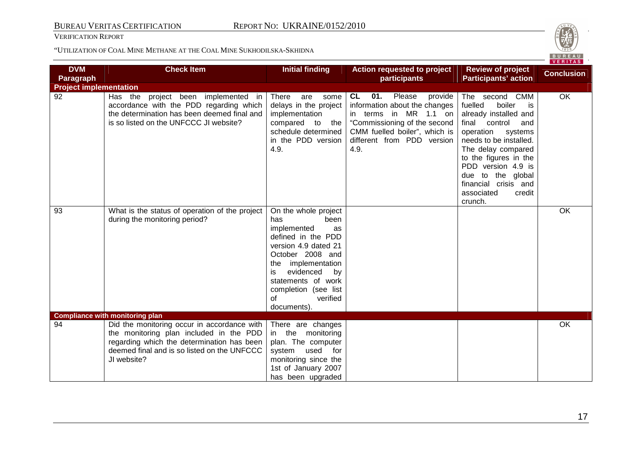VERIFICATION REPORT



|                               |                                                                                                                                                                                                    |                                                                                                                                                                                                                                                             |                                                                                                                                                                                                 |                                                                                                                                                                                                                                                                                                   | <u>VERIIAS</u>    |
|-------------------------------|----------------------------------------------------------------------------------------------------------------------------------------------------------------------------------------------------|-------------------------------------------------------------------------------------------------------------------------------------------------------------------------------------------------------------------------------------------------------------|-------------------------------------------------------------------------------------------------------------------------------------------------------------------------------------------------|---------------------------------------------------------------------------------------------------------------------------------------------------------------------------------------------------------------------------------------------------------------------------------------------------|-------------------|
| <b>DVM</b><br>Paragraph       | <b>Check Item</b>                                                                                                                                                                                  | <b>Initial finding</b>                                                                                                                                                                                                                                      | Action requested to project<br>participants                                                                                                                                                     | <b>Review of project</b><br><b>Participants' action</b>                                                                                                                                                                                                                                           | <b>Conclusion</b> |
| <b>Project implementation</b> |                                                                                                                                                                                                    |                                                                                                                                                                                                                                                             |                                                                                                                                                                                                 |                                                                                                                                                                                                                                                                                                   |                   |
| 92                            | project been implemented in<br>Has the<br>accordance with the PDD regarding which<br>the determination has been deemed final and<br>is so listed on the UNFCCC JI website?                         | There<br>are<br>some<br>delays in the project<br>implementation<br>compared to<br>the<br>schedule determined<br>in the PDD version<br>4.9.                                                                                                                  | 01.<br>Please<br>CL<br>provide<br>information about the changes<br>in terms in MR 1.1 on<br>"Commissioning of the second<br>CMM fuelled boiler", which is<br>different from PDD version<br>4.9. | The second CMM<br>boiler<br>fuelled<br>is<br>already installed and<br>final control<br>and<br>operation<br>systems<br>needs to be installed.<br>The delay compared<br>to the figures in the<br>PDD version 4.9 is<br>due to the global<br>financial crisis and<br>associated<br>credit<br>crunch. | OK                |
| 93                            | What is the status of operation of the project<br>during the monitoring period?                                                                                                                    | On the whole project<br>been<br>has<br>implemented<br>as<br>defined in the PDD<br>version 4.9 dated 21<br>October 2008 and<br>implementation<br>the<br>evidenced<br>by<br>is<br>statements of work<br>completion (see list<br>verified<br>0f<br>documents). |                                                                                                                                                                                                 |                                                                                                                                                                                                                                                                                                   | OK                |
|                               | <b>Compliance with monitoring plan</b>                                                                                                                                                             |                                                                                                                                                                                                                                                             |                                                                                                                                                                                                 |                                                                                                                                                                                                                                                                                                   |                   |
| 94                            | Did the monitoring occur in accordance with<br>the monitoring plan included in the PDD<br>regarding which the determination has been<br>deemed final and is so listed on the UNFCCC<br>JI website? | There are changes<br>in the monitoring<br>plan. The computer<br>system used for<br>monitoring since the<br>1st of January 2007<br>has been upgraded                                                                                                         |                                                                                                                                                                                                 |                                                                                                                                                                                                                                                                                                   | OK                |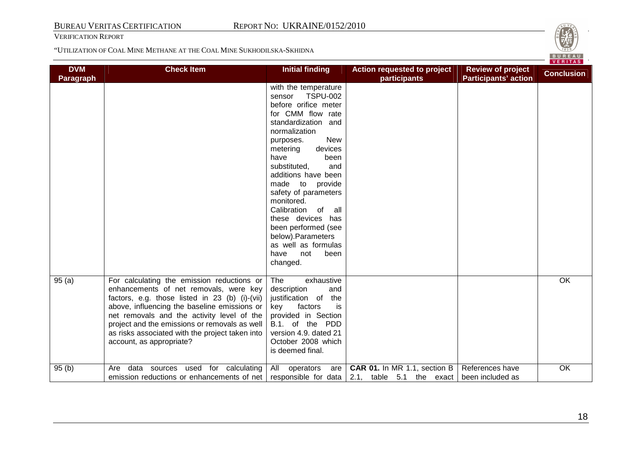

|                                |                                                                                                                                                                                                                                                                                                                                                                      |                                                                                                                                                                                                                                                                                                                                                                                                                                                                           |                                                                                       |                                                         | VERITAS           |
|--------------------------------|----------------------------------------------------------------------------------------------------------------------------------------------------------------------------------------------------------------------------------------------------------------------------------------------------------------------------------------------------------------------|---------------------------------------------------------------------------------------------------------------------------------------------------------------------------------------------------------------------------------------------------------------------------------------------------------------------------------------------------------------------------------------------------------------------------------------------------------------------------|---------------------------------------------------------------------------------------|---------------------------------------------------------|-------------------|
| <b>DVM</b><br><b>Paragraph</b> | <b>Check Item</b>                                                                                                                                                                                                                                                                                                                                                    | <b>Initial finding</b>                                                                                                                                                                                                                                                                                                                                                                                                                                                    | Action requested to project<br>participants                                           | <b>Review of project</b><br><b>Participants' action</b> | <b>Conclusion</b> |
|                                |                                                                                                                                                                                                                                                                                                                                                                      | with the temperature<br><b>TSPU-002</b><br>sensor<br>before orifice meter<br>for CMM flow rate<br>standardization and<br>normalization<br><b>New</b><br>purposes.<br>metering<br>devices<br>have<br>been<br>substituted,<br>and<br>additions have been<br>made to<br>provide<br>safety of parameters<br>monitored.<br>Calibration<br>all<br>of<br>these devices has<br>been performed (see<br>below).Parameters<br>as well as formulas<br>have<br>not<br>been<br>changed. |                                                                                       |                                                         |                   |
| 95(a)                          | For calculating the emission reductions or<br>enhancements of net removals, were key<br>factors, e.g. those listed in 23 (b) (i)-(vii)<br>above, influencing the baseline emissions or<br>net removals and the activity level of the<br>project and the emissions or removals as well<br>as risks associated with the project taken into<br>account, as appropriate? | The<br>exhaustive<br>description<br>and<br>justification of<br>the<br>is<br>key<br>factors<br>provided in Section<br>B.1. of the PDD<br>version 4.9. dated 21<br>October 2008 which<br>is deemed final.                                                                                                                                                                                                                                                                   |                                                                                       |                                                         | OK                |
| 95(b)                          | data sources used for calculating<br>Are<br>emission reductions or enhancements of net                                                                                                                                                                                                                                                                               | All<br>operators<br>are                                                                                                                                                                                                                                                                                                                                                                                                                                                   | CAR 01. In MR 1.1, section B<br>responsible for data $\vert$ 2.1, table 5.1 the exact | References have<br>been included as                     | OK                |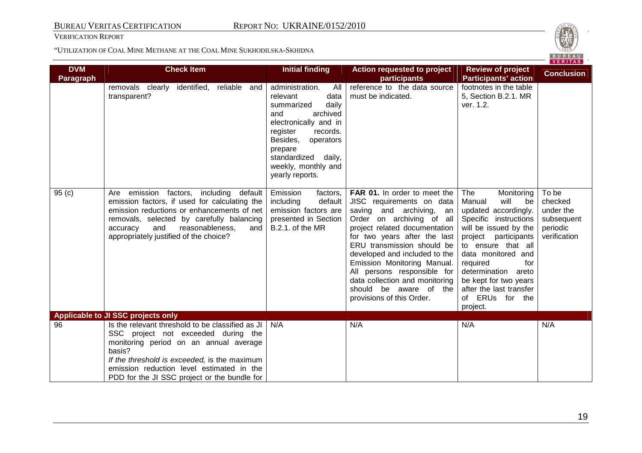VERIFICATION REPORT



| <b>DVM</b><br><b>Paragraph</b> | <b>Check Item</b>                                                                                                                                                                                                                                                                        | <b>Initial finding</b>                                                                                                                                                                                                                        | Action requested to project<br>participants                                                                                                                                                                                                                                                                                                                                                               | <b>Review of project</b><br><b>Participants' action</b>                                                                                                                                                                                                                                                                     | <u>VERITAS</u><br><b>Conclusion</b>                                     |
|--------------------------------|------------------------------------------------------------------------------------------------------------------------------------------------------------------------------------------------------------------------------------------------------------------------------------------|-----------------------------------------------------------------------------------------------------------------------------------------------------------------------------------------------------------------------------------------------|-----------------------------------------------------------------------------------------------------------------------------------------------------------------------------------------------------------------------------------------------------------------------------------------------------------------------------------------------------------------------------------------------------------|-----------------------------------------------------------------------------------------------------------------------------------------------------------------------------------------------------------------------------------------------------------------------------------------------------------------------------|-------------------------------------------------------------------------|
|                                | removals clearly identified,<br>reliable and<br>transparent?                                                                                                                                                                                                                             | administration.<br>All<br>relevant<br>data<br>daily<br>summarized<br>archived<br>and<br>electronically and in<br>records.<br>register<br>Besides,<br>operators<br>prepare<br>standardized<br>daily,<br>weekly, monthly and<br>yearly reports. | reference to the data source<br>must be indicated.                                                                                                                                                                                                                                                                                                                                                        | footnotes in the table<br>5, Section B.2.1. MR<br>ver. 1.2.                                                                                                                                                                                                                                                                 |                                                                         |
| 95(c)                          | emission factors, including default<br>Are<br>emission factors, if used for calculating the<br>emission reductions or enhancements of net<br>removals, selected by carefully balancing<br>and<br>accuracy<br>reasonableness,<br>and<br>appropriately justified of the choice?            | Emission<br>factors,<br>including<br>default<br>emission factors are<br>presented in Section<br>B.2.1. of the MR                                                                                                                              | FAR 01. In order to meet the<br>JISC requirements on data<br>saving and archiving, an<br>Order on archiving of all<br>project related documentation<br>for two years after the last<br>ERU transmission should be<br>developed and included to the<br>Emission Monitoring Manual.<br>All persons responsible for<br>data collection and monitoring<br>should be aware of the<br>provisions of this Order. | <b>The</b><br>Monitoring<br>Manual<br>will<br>be<br>updated accordingly.<br>Specific instructions<br>will be issued by the<br>project participants<br>to ensure that all<br>data monitored and<br>for<br>required<br>determination areto<br>be kept for two years<br>after the last transfer<br>of ERUs for the<br>project. | To be<br>checked<br>under the<br>subsequent<br>periodic<br>verification |
|                                | Applicable to JI SSC projects only                                                                                                                                                                                                                                                       |                                                                                                                                                                                                                                               |                                                                                                                                                                                                                                                                                                                                                                                                           |                                                                                                                                                                                                                                                                                                                             |                                                                         |
| 96                             | Is the relevant threshold to be classified as JI<br>SSC project not exceeded during the<br>monitoring period on an annual average<br>basis?<br>If the threshold is exceeded, is the maximum<br>emission reduction level estimated in the<br>PDD for the JI SSC project or the bundle for | N/A                                                                                                                                                                                                                                           | N/A                                                                                                                                                                                                                                                                                                                                                                                                       | N/A                                                                                                                                                                                                                                                                                                                         | N/A                                                                     |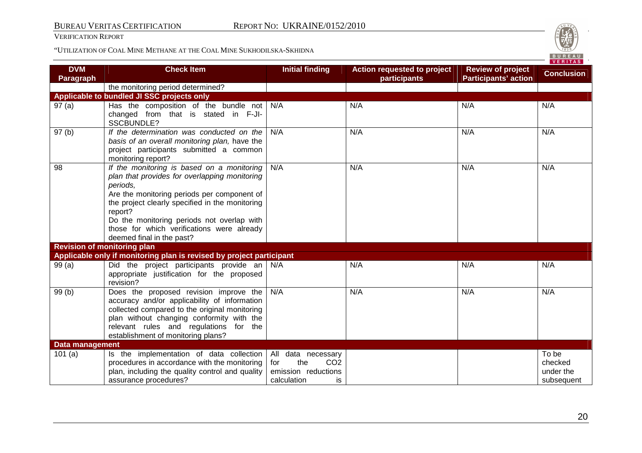VERIFICATION REPORT



|                                  |                                                                              |                               |                                                    |                                                         | VERITAS           |
|----------------------------------|------------------------------------------------------------------------------|-------------------------------|----------------------------------------------------|---------------------------------------------------------|-------------------|
| <b>DVM</b><br><b>Paragraph</b>   | <b>Check Item</b>                                                            | <b>Initial finding</b>        | <b>Action requested to project</b><br>participants | <b>Review of project</b><br><b>Participants' action</b> | <b>Conclusion</b> |
|                                  | the monitoring period determined?                                            |                               |                                                    |                                                         |                   |
|                                  | Applicable to bundled JI SSC projects only                                   |                               |                                                    |                                                         |                   |
| 97(a)                            | Has the composition of the bundle not                                        | N/A                           | N/A                                                | N/A                                                     | N/A               |
|                                  | changed from that is stated in F-JI-<br>SSCBUNDLE?                           |                               |                                                    |                                                         |                   |
| 97(b)                            | If the determination was conducted on the                                    | N/A                           | N/A                                                | N/A                                                     | N/A               |
|                                  | basis of an overall monitoring plan, have the                                |                               |                                                    |                                                         |                   |
|                                  | project participants submitted a common<br>monitoring report?                |                               |                                                    |                                                         |                   |
| 98                               | If the monitoring is based on a monitoring                                   | N/A                           | N/A                                                | N/A                                                     | N/A               |
|                                  | plan that provides for overlapping monitoring<br>periods,                    |                               |                                                    |                                                         |                   |
|                                  | Are the monitoring periods per component of                                  |                               |                                                    |                                                         |                   |
|                                  | the project clearly specified in the monitoring                              |                               |                                                    |                                                         |                   |
|                                  | report?                                                                      |                               |                                                    |                                                         |                   |
|                                  | Do the monitoring periods not overlap with                                   |                               |                                                    |                                                         |                   |
|                                  | those for which verifications were already                                   |                               |                                                    |                                                         |                   |
|                                  | deemed final in the past?                                                    |                               |                                                    |                                                         |                   |
|                                  | <b>Revision of monitoring plan</b>                                           |                               |                                                    |                                                         |                   |
|                                  | Applicable only if monitoring plan is revised by project participant         |                               |                                                    |                                                         |                   |
| 99(a)                            | Did the project participants provide an $N/A$                                |                               | N/A                                                | N/A                                                     | N/A               |
|                                  | appropriate justification for the proposed                                   |                               |                                                    |                                                         |                   |
|                                  | revision?                                                                    |                               |                                                    |                                                         |                   |
| 99(b)                            | Does the proposed revision improve the                                       | N/A                           | N/A                                                | N/A                                                     | N/A               |
|                                  | accuracy and/or applicability of information                                 |                               |                                                    |                                                         |                   |
|                                  | collected compared to the original monitoring                                |                               |                                                    |                                                         |                   |
|                                  | plan without changing conformity with the                                    |                               |                                                    |                                                         |                   |
|                                  | relevant rules and regulations for the<br>establishment of monitoring plans? |                               |                                                    |                                                         |                   |
|                                  |                                                                              |                               |                                                    |                                                         |                   |
| <b>Data management</b><br>101(a) | Is the implementation of data collection                                     | All data necessary            |                                                    |                                                         | To be             |
|                                  | procedures in accordance with the monitoring                                 | the<br>CO <sub>2</sub><br>for |                                                    |                                                         | checked           |
|                                  | plan, including the quality control and quality                              | emission reductions           |                                                    |                                                         | under the         |
|                                  | assurance procedures?                                                        | calculation<br>is             |                                                    |                                                         | subsequent        |
|                                  |                                                                              |                               |                                                    |                                                         |                   |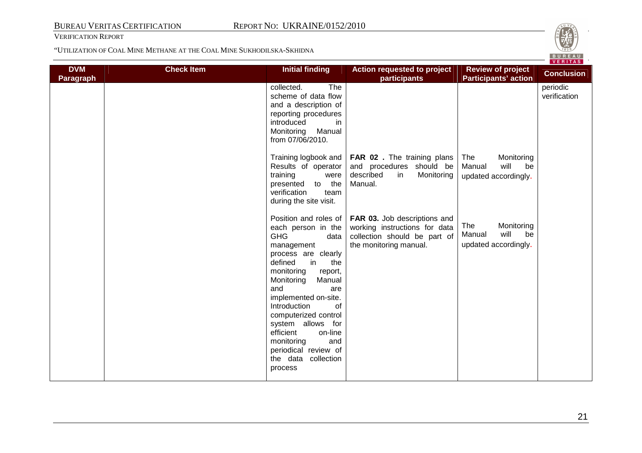

|                                |                   |                                                                                                                                                                                                                                                                                                                                                                        |                                                                                                                                                 |                                                                          | <u>VERITAS</u>           |
|--------------------------------|-------------------|------------------------------------------------------------------------------------------------------------------------------------------------------------------------------------------------------------------------------------------------------------------------------------------------------------------------------------------------------------------------|-------------------------------------------------------------------------------------------------------------------------------------------------|--------------------------------------------------------------------------|--------------------------|
| <b>DVM</b><br><b>Paragraph</b> | <b>Check Item</b> | <b>Initial finding</b>                                                                                                                                                                                                                                                                                                                                                 | <b>Action requested to project</b><br>participants                                                                                              | <b>Review of project</b><br><b>Participants' action</b>                  | <b>Conclusion</b>        |
|                                |                   | The<br>collected.<br>scheme of data flow<br>and a description of<br>reporting procedures<br>introduced<br>in.<br>Manual<br>Monitoring<br>from 07/06/2010.                                                                                                                                                                                                              |                                                                                                                                                 |                                                                          | periodic<br>verification |
|                                |                   | Results of operator<br>training<br>were<br>presented to the<br>verification<br>team<br>during the site visit.                                                                                                                                                                                                                                                          | Training logbook and   FAR 02. The training plans<br>and procedures should be<br>described<br>Monitoring<br>in<br>Manual.                       | Monitoring<br>The<br>will<br>Manual<br>be<br>updated accordingly.        |                          |
|                                |                   | each person in the<br><b>GHG</b><br>data<br>management<br>process are clearly<br>defined<br>in<br>the<br>monitoring<br>report,<br>Monitoring<br>Manual<br>and<br>are<br>implemented on-site.<br>Introduction<br>0f<br>computerized control<br>system allows for<br>on-line<br>efficient<br>monitoring<br>and<br>periodical review of<br>the data collection<br>process | Position and roles of   FAR 03. Job descriptions and<br>working instructions for data<br>collection should be part of<br>the monitoring manual. | Monitoring<br><b>The</b><br>will<br>Manual<br>be<br>updated accordingly. |                          |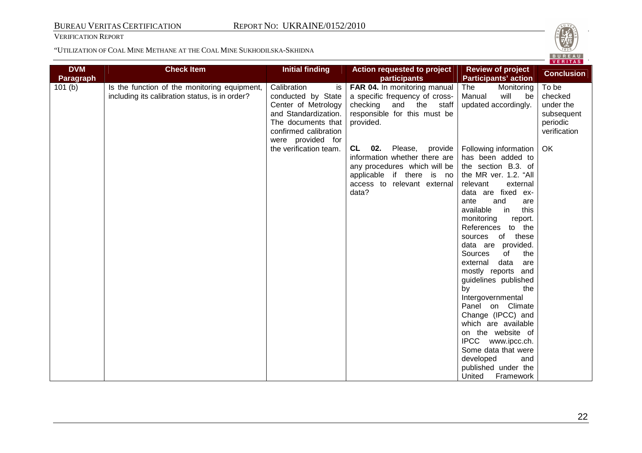VERIFICATION REPORT



|                                |                                                                                                |                                                                                                                                                            |                                                                                                                                                                              |                                                                                                                                                                                                                                                                                                                                                                                                                                                                                                                                                                                                                         | <u>VENIIAS</u>                                                          |
|--------------------------------|------------------------------------------------------------------------------------------------|------------------------------------------------------------------------------------------------------------------------------------------------------------|------------------------------------------------------------------------------------------------------------------------------------------------------------------------------|-------------------------------------------------------------------------------------------------------------------------------------------------------------------------------------------------------------------------------------------------------------------------------------------------------------------------------------------------------------------------------------------------------------------------------------------------------------------------------------------------------------------------------------------------------------------------------------------------------------------------|-------------------------------------------------------------------------|
| <b>DVM</b><br><b>Paragraph</b> | <b>Check Item</b>                                                                              | <b>Initial finding</b>                                                                                                                                     | <b>Action requested to project</b><br>participants                                                                                                                           | <b>Review of project</b><br><b>Participants' action</b>                                                                                                                                                                                                                                                                                                                                                                                                                                                                                                                                                                 | <b>Conclusion</b>                                                       |
| 101(b)                         | Is the function of the monitoring equipment,<br>including its calibration status, is in order? | Calibration<br>is<br>conducted by State<br>Center of Metrology<br>and Standardization.<br>The documents that<br>confirmed calibration<br>were provided for | FAR 04. In monitoring manual<br>a specific frequency of cross-<br>checking<br>and the<br>staff<br>responsible for this must be<br>provided.                                  | The<br>Monitoring<br>Manual<br>will<br>be<br>updated accordingly.                                                                                                                                                                                                                                                                                                                                                                                                                                                                                                                                                       | To be<br>checked<br>under the<br>subsequent<br>periodic<br>verification |
|                                |                                                                                                | the verification team.                                                                                                                                     | <b>CL</b><br>02.<br>Please,<br>provide<br>information whether there are<br>any procedures which will be<br>applicable if there is no<br>access to relevant external<br>data? | Following information<br>has been added to<br>the section B.3. of<br>the MR ver. 1.2. "All<br>relevant<br>external<br>data are fixed ex-<br>and<br>ante<br>are<br>available<br>in<br>this<br>monitoring<br>report.<br>References to the<br>sources of these<br>data are provided.<br>of<br>the<br>Sources<br>data<br>external<br>are<br>mostly reports and<br>guidelines published<br>by<br>the<br>Intergovernmental<br>Panel on Climate<br>Change (IPCC) and<br>which are available<br>on the website of<br>IPCC www.ipcc.ch.<br>Some data that were<br>developed<br>and<br>published under the<br>United<br>Framework | OK                                                                      |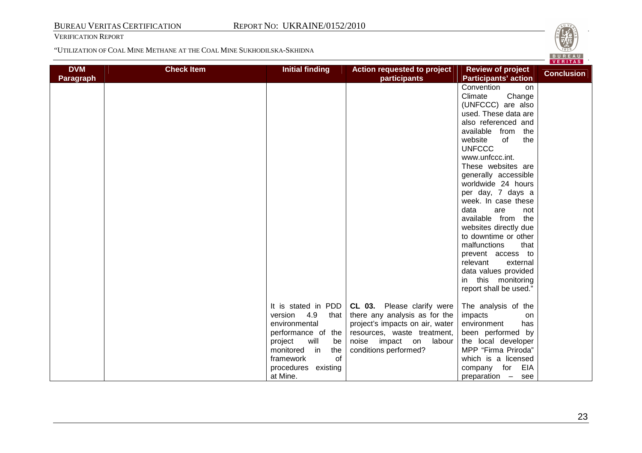VERIFICATION REPORT



| <b>DVM</b>       | <b>Check Item</b> | <b>Initial finding</b>                                                                                         | Action requested to project                                                                                                   | <b>Review of project</b>                                                                                                                                                                                                                                                                                                                                                                                                                                                                   | <u>VERIIAS</u>    |
|------------------|-------------------|----------------------------------------------------------------------------------------------------------------|-------------------------------------------------------------------------------------------------------------------------------|--------------------------------------------------------------------------------------------------------------------------------------------------------------------------------------------------------------------------------------------------------------------------------------------------------------------------------------------------------------------------------------------------------------------------------------------------------------------------------------------|-------------------|
|                  |                   |                                                                                                                | participants                                                                                                                  | <b>Participants' action</b>                                                                                                                                                                                                                                                                                                                                                                                                                                                                | <b>Conclusion</b> |
| <b>Paragraph</b> |                   |                                                                                                                |                                                                                                                               | Convention<br><b>on</b><br>Climate<br>Change<br>(UNFCCC) are also<br>used. These data are<br>also referenced and<br>available from<br>the<br>website<br>of<br>the<br><b>UNFCCC</b><br>www.unfccc.int.<br>These websites are<br>generally accessible<br>worldwide 24 hours<br>per day, 7 days a<br>week. In case these<br>data<br>are<br>not<br>available from<br>the<br>websites directly due<br>to downtime or other<br>malfunctions<br>that<br>prevent access to<br>relevant<br>external |                   |
|                  |                   | It is stated in PDD<br>4.9<br>version<br>that<br>environmental<br>performance of the                           | CL 03. Please clarify were<br>there any analysis as for the<br>project's impacts on air, water<br>resources, waste treatment, | data values provided<br>this monitoring<br>in<br>report shall be used."<br>The analysis of the<br>impacts<br>on<br>environment<br>has<br>been performed by                                                                                                                                                                                                                                                                                                                                 |                   |
|                  |                   | will<br>project<br>be<br>in<br>the<br>monitored<br>$\alpha$<br>framework<br>procedures<br>existing<br>at Mine. | noise impact on<br>labour<br>conditions performed?                                                                            | the local developer<br>MPP "Firma Priroda"<br>which is a licensed<br>EIA<br>company for<br>preparation –<br>see                                                                                                                                                                                                                                                                                                                                                                            |                   |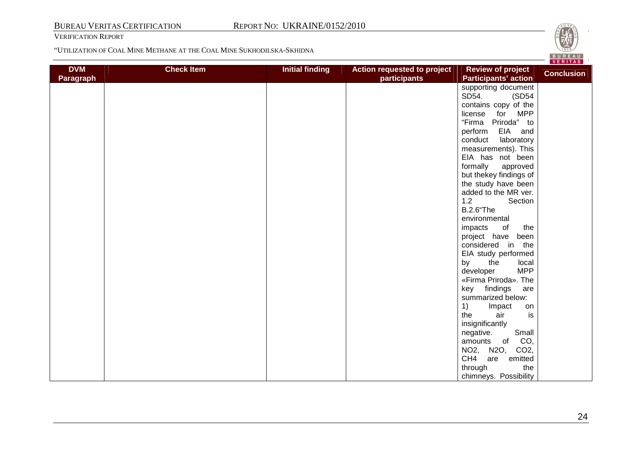VERIFICATION REPORT



| <b>DVM</b>       | <b>Check Item</b><br><b>Initial finding</b> | Action requested to project | <b>Review of project</b>                    | VERIIAS           |
|------------------|---------------------------------------------|-----------------------------|---------------------------------------------|-------------------|
| <b>Paragraph</b> |                                             | participants                | <b>Participants' action</b>                 | <b>Conclusion</b> |
|                  |                                             |                             | supporting document                         |                   |
|                  |                                             |                             | SD54.<br>(SD54                              |                   |
|                  |                                             |                             | contains copy of the                        |                   |
|                  |                                             |                             | for MPP<br>license                          |                   |
|                  |                                             |                             | "Firma Priroda" to                          |                   |
|                  |                                             |                             | EIA and<br>perform                          |                   |
|                  |                                             |                             | conduct<br>laboratory                       |                   |
|                  |                                             |                             | measurements). This                         |                   |
|                  |                                             |                             | EIA has not been                            |                   |
|                  |                                             |                             | formally<br>approved                        |                   |
|                  |                                             |                             | but thekey findings of                      |                   |
|                  |                                             |                             | the study have been                         |                   |
|                  |                                             |                             | added to the MR ver.                        |                   |
|                  |                                             |                             | 1.2<br>Section                              |                   |
|                  |                                             |                             | <b>B.2.6</b> "The                           |                   |
|                  |                                             |                             | environmental                               |                   |
|                  |                                             |                             | the<br>impacts<br>of                        |                   |
|                  |                                             |                             | project have<br>been                        |                   |
|                  |                                             |                             | considered in the                           |                   |
|                  |                                             |                             | EIA study performed                         |                   |
|                  |                                             |                             | by<br>the<br>local                          |                   |
|                  |                                             |                             | <b>MPP</b><br>developer                     |                   |
|                  |                                             |                             | «Firma Priroda». The                        |                   |
|                  |                                             |                             | key<br>findings<br>are<br>summarized below: |                   |
|                  |                                             |                             |                                             |                   |
|                  |                                             |                             | 1)<br>Impact<br>on<br>the<br>air            |                   |
|                  |                                             |                             | is                                          |                   |
|                  |                                             |                             | insignificantly<br>Small<br>negative.       |                   |
|                  |                                             |                             | CO,<br>$\circ$ of<br>amounts                |                   |
|                  |                                             |                             | NO2, N2O, CO2,                              |                   |
|                  |                                             |                             | CH <sub>4</sub><br>are<br>emitted           |                   |
|                  |                                             |                             | the<br>through                              |                   |
|                  |                                             |                             | chimneys. Possibility                       |                   |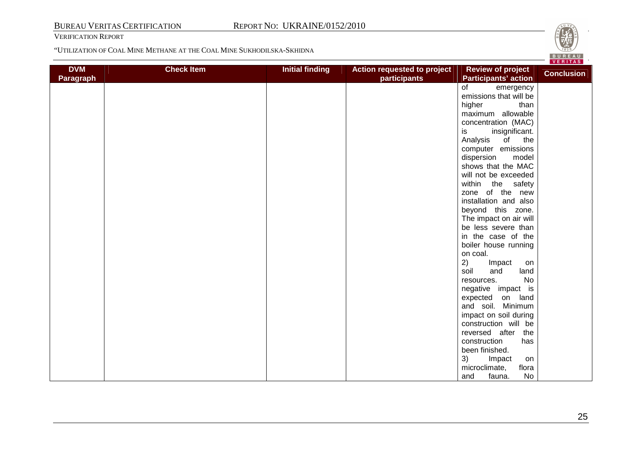VERIFICATION REPORT



| <b>DVM</b>       | <b>Check Item</b> | <b>Initial finding</b> | Action requested to project | <b>Review of project</b>    | VERIIAS<br><b>Conclusion</b> |
|------------------|-------------------|------------------------|-----------------------------|-----------------------------|------------------------------|
| <b>Paragraph</b> |                   |                        | participants                | <b>Participants' action</b> |                              |
|                  |                   |                        |                             | of<br>emergency             |                              |
|                  |                   |                        |                             | emissions that will be      |                              |
|                  |                   |                        |                             | higher<br>than              |                              |
|                  |                   |                        |                             | maximum allowable           |                              |
|                  |                   |                        |                             | concentration (MAC)         |                              |
|                  |                   |                        |                             | insignificant.<br>is        |                              |
|                  |                   |                        |                             | Analysis<br>of<br>the       |                              |
|                  |                   |                        |                             | computer emissions          |                              |
|                  |                   |                        |                             | dispersion<br>model         |                              |
|                  |                   |                        |                             | shows that the MAC          |                              |
|                  |                   |                        |                             | will not be exceeded        |                              |
|                  |                   |                        |                             | within the safety           |                              |
|                  |                   |                        |                             | zone of the new             |                              |
|                  |                   |                        |                             | installation and also       |                              |
|                  |                   |                        |                             | beyond this zone.           |                              |
|                  |                   |                        |                             | The impact on air will      |                              |
|                  |                   |                        |                             | be less severe than         |                              |
|                  |                   |                        |                             | in the case of the          |                              |
|                  |                   |                        |                             | boiler house running        |                              |
|                  |                   |                        |                             | on coal.                    |                              |
|                  |                   |                        |                             | 2)<br>Impact<br>on          |                              |
|                  |                   |                        |                             | soil<br>land<br>and         |                              |
|                  |                   |                        |                             | <b>No</b><br>resources.     |                              |
|                  |                   |                        |                             | negative impact is          |                              |
|                  |                   |                        |                             | expected on land            |                              |
|                  |                   |                        |                             | and soil. Minimum           |                              |
|                  |                   |                        |                             | impact on soil during       |                              |
|                  |                   |                        |                             | construction will be        |                              |
|                  |                   |                        |                             | reversed after the          |                              |
|                  |                   |                        |                             | construction<br>has         |                              |
|                  |                   |                        |                             | been finished.              |                              |
|                  |                   |                        |                             | 3)<br>Impact<br>on          |                              |
|                  |                   |                        |                             | flora<br>microclimate,      |                              |
|                  |                   |                        |                             | No<br>and<br>fauna.         |                              |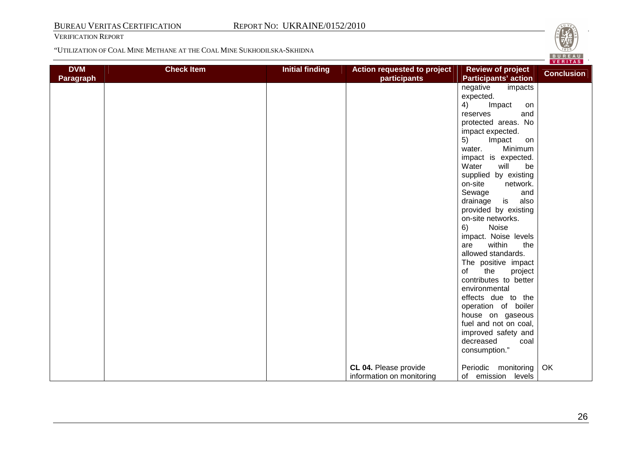VERIFICATION REPORT

**DVM Paragraph** 

"UTILIZATION OF COAL MINE METHANE AT THE COAL MINE SUKHODILSKA-SKHIDNA



**CL 04.** Please provide information on monitoring

 house on gaseous fuel and not on coal, improved safety and

Periodic monitoring of emission levels

decreased consumption." coal

**OK**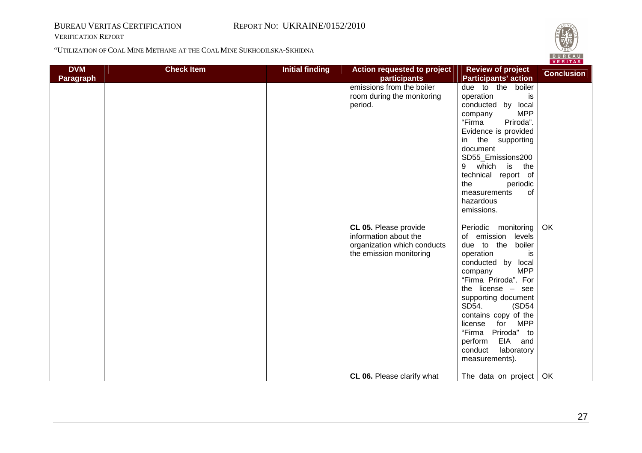VERIFICATION REPORT

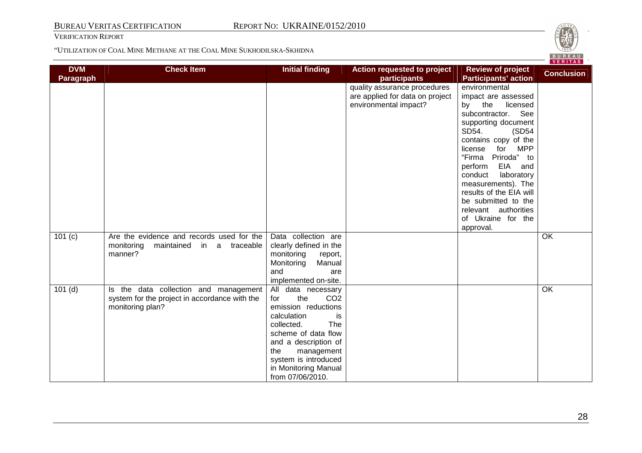VERIFICATION REPORT



| <b>DVM</b><br><b>Paragraph</b> | <b>Check Item</b>                                                                                          | <b>Initial finding</b>                                                                                                                                                                                                                                        | <b>Action requested to project</b><br>participants                                       | <b>Review of project</b><br><b>Participants' action</b>                                                                                                                                                                                                                                                                                                                            | <b>Conclusion</b> |
|--------------------------------|------------------------------------------------------------------------------------------------------------|---------------------------------------------------------------------------------------------------------------------------------------------------------------------------------------------------------------------------------------------------------------|------------------------------------------------------------------------------------------|------------------------------------------------------------------------------------------------------------------------------------------------------------------------------------------------------------------------------------------------------------------------------------------------------------------------------------------------------------------------------------|-------------------|
|                                |                                                                                                            |                                                                                                                                                                                                                                                               | quality assurance procedures<br>are applied for data on project<br>environmental impact? | environmental<br>impact are assessed<br>by the<br>licensed<br>See<br>subcontractor.<br>supporting document<br>SD54.<br>(SD54<br>contains copy of the<br>for MPP<br>license<br>"Firma Priroda" to<br>EIA and<br>perform<br>conduct<br>laboratory<br>measurements). The<br>results of the EIA will<br>be submitted to the<br>relevant authorities<br>of Ukraine for the<br>approval. |                   |
| 101 (c)                        | Are the evidence and records used for the<br>monitoring<br>maintained in a traceable<br>manner?            | Data collection are<br>clearly defined in the<br>monitoring<br>report,<br>Manual<br>Monitoring<br>and<br>are<br>implemented on-site.                                                                                                                          |                                                                                          |                                                                                                                                                                                                                                                                                                                                                                                    | $\overline{OK}$   |
| $101$ (d)                      | Is the data collection and management<br>system for the project in accordance with the<br>monitoring plan? | All data necessary<br>the<br>CO <sub>2</sub><br>for<br>emission reductions<br>calculation<br>is.<br>collected.<br>The<br>scheme of data flow<br>and a description of<br>the<br>management<br>system is introduced<br>in Monitoring Manual<br>from 07/06/2010. |                                                                                          |                                                                                                                                                                                                                                                                                                                                                                                    | OK                |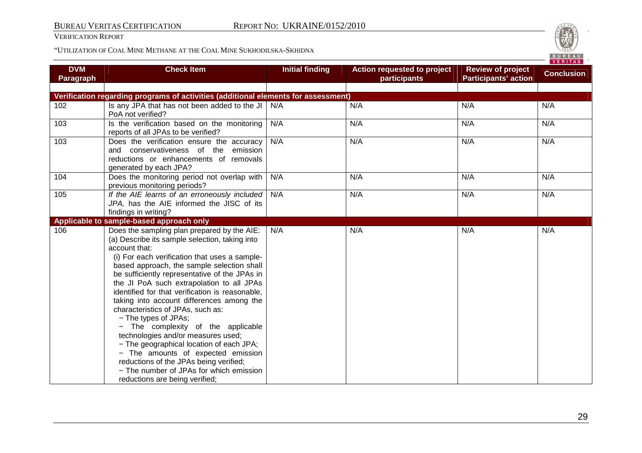VERIFICATION REPORT

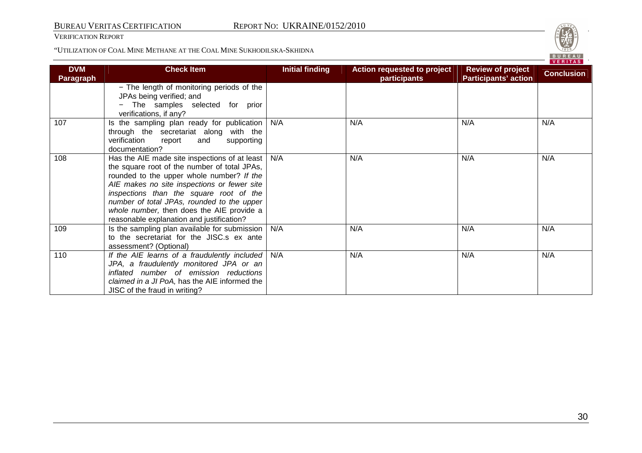VERIFICATION REPORT



|                         |                                                                                                                                                                                                                                                                                                                                                                              |                        |                                                    |                                                         | VERITAS           |
|-------------------------|------------------------------------------------------------------------------------------------------------------------------------------------------------------------------------------------------------------------------------------------------------------------------------------------------------------------------------------------------------------------------|------------------------|----------------------------------------------------|---------------------------------------------------------|-------------------|
| <b>DVM</b><br>Paragraph | <b>Check Item</b>                                                                                                                                                                                                                                                                                                                                                            | <b>Initial finding</b> | <b>Action requested to project</b><br>participants | <b>Review of project</b><br><b>Participants' action</b> | <b>Conclusion</b> |
|                         | - The length of monitoring periods of the<br>JPAs being verified; and<br>The samples selected for prior<br>verifications, if any?                                                                                                                                                                                                                                            |                        |                                                    |                                                         |                   |
| 107                     | Is the sampling plan ready for publication<br>through the secretariat along with the<br>verification<br>report<br>and<br>supporting<br>documentation?                                                                                                                                                                                                                        | N/A                    | N/A                                                | N/A                                                     | N/A               |
| 108                     | Has the AIE made site inspections of at least<br>the square root of the number of total JPAs,<br>rounded to the upper whole number? If the<br>AIE makes no site inspections or fewer site<br>inspections than the square root of the<br>number of total JPAs, rounded to the upper<br>whole number, then does the AIE provide a<br>reasonable explanation and justification? | N/A                    | N/A                                                | N/A                                                     | N/A               |
| 109                     | Is the sampling plan available for submission  <br>to the secretariat for the JISC.s ex ante<br>assessment? (Optional)                                                                                                                                                                                                                                                       | N/A                    | N/A                                                | N/A                                                     | N/A               |
| 110                     | If the AIE learns of a fraudulently included<br>JPA, a fraudulently monitored JPA or an<br>inflated number of emission reductions<br>claimed in a JI PoA, has the AIE informed the<br>JISC of the fraud in writing?                                                                                                                                                          | N/A                    | N/A                                                | N/A                                                     | N/A               |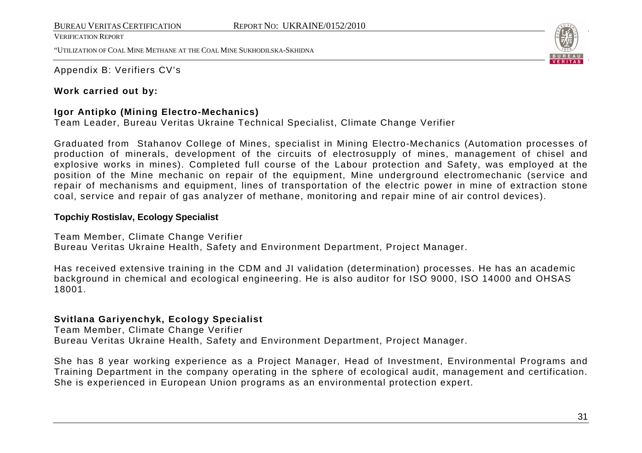"UTILIZATION OF COAL MINE METHANE AT THE COAL MINE SUKHODILSKA-SKHIDNA



Appendix B: Verifiers CV's

### **Work carried out by:**

### **Igor Antipko (Mining Electro-Mechanics)**

Team Leader, Bureau Veritas Ukraine Technical Specialist, Climate Change Verifier

Graduated from Stahanov College of Mines, specialist in Mining Electro-Mechanics (Automation processes of production of minerals, development of the circuits of electrosupply of mines, management of chisel and explosive works in mines). Completed full course of the Labour protection and Safety, was employed at the position of the Mine mechanic on repair of the equipment, Mine underground electromechanic (service and repair of mechanisms and equipment, lines of transportation of the electric power in mine of extraction stone coal, service and repair of gas analyzer of methane, monitoring and repair mine of air control devices).

### **Topchiy Rostislav, Ecology Specialist**

### Team Member, Climate Change Verifier

Bureau Veritas Ukraine Health, Safety and Environment Department, Project Manager.

Has received extensive training in the CDM and JI validation (determination) processes. He has an academic background in chemical and ecological engineering. He is also auditor for ISO 9000, ISO 14000 and OHSAS 18001.

### **Svitlana Gariyenchyk, Ecology Specialist**

Team Member, Climate Change Verifier Bureau Veritas Ukraine Health, Safety and Environment Department, Project Manager.

She has 8 year working experience as a Project Manager, Head of Investment, Environmental Programs and Training Department in the company operating in the sphere of ecological audit, management and certification. She is experienced in European Union programs as an environmental protection expert.